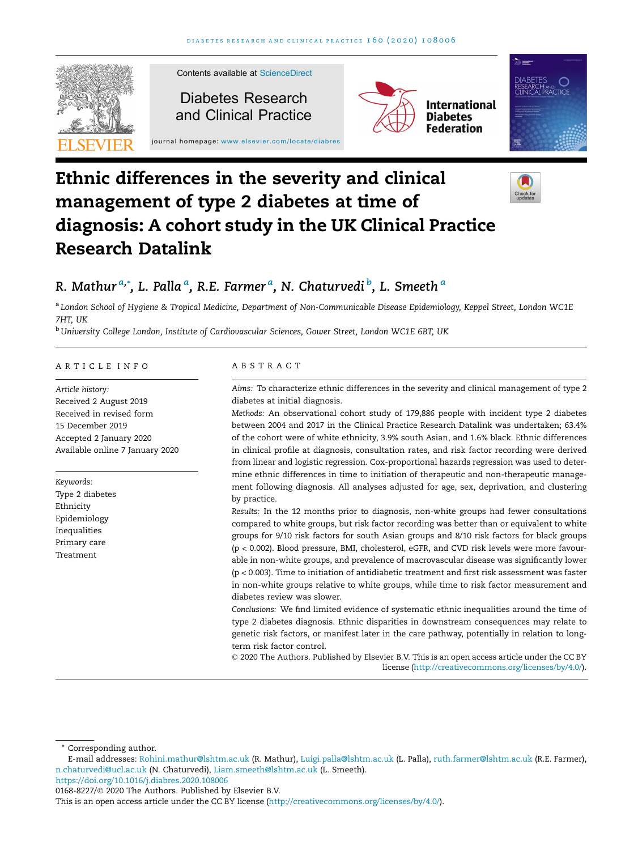

# Ethnic differences in the severity and clinical management of type 2 diabetes at time of diagnosis: A cohort study in the UK Clinical Practice Research Datalink

# R. Mathur<sup>a,</sup>\*, L. Palla<sup>a</sup>, R.E. Farmer<sup>a</sup>, N. Chaturvedi<sup>b</sup>, L. Smeeth<sup>a</sup>

a London School of Hygiene & Tropical Medicine, Department of Non-Communicable Disease Epidemiology, Keppel Street, London WC1E 7HT, UK

<sup>b</sup> University College London, Institute of Cardiovascular Sciences, Gower Street, London WC1E 6BT, UK

# ARTICLE INFO

Article history: Received 2 August 2019 Received in revised form 15 December 2019 Accepted 2 January 2020 Available online 7 January 2020

Keywords: Type 2 diabetes Ethnicity Epidemiology Inequalities Primary care Treatment

# ABSTRACT

Aims: To characterize ethnic differences in the severity and clinical management of type 2 diabetes at initial diagnosis.

Methods: An observational cohort study of 179,886 people with incident type 2 diabetes between 2004 and 2017 in the Clinical Practice Research Datalink was undertaken; 63.4% of the cohort were of white ethnicity, 3.9% south Asian, and 1.6% black. Ethnic differences in clinical profile at diagnosis, consultation rates, and risk factor recording were derived from linear and logistic regression. Cox-proportional hazards regression was used to determine ethnic differences in time to initiation of therapeutic and non-therapeutic management following diagnosis. All analyses adjusted for age, sex, deprivation, and clustering by practice.

Results: In the 12 months prior to diagnosis, non-white groups had fewer consultations compared to white groups, but risk factor recording was better than or equivalent to white groups for 9/10 risk factors for south Asian groups and 8/10 risk factors for black groups (p < 0.002). Blood pressure, BMI, cholesterol, eGFR, and CVD risk levels were more favourable in non-white groups, and prevalence of macrovascular disease was significantly lower (p < 0.003). Time to initiation of antidiabetic treatment and first risk assessment was faster in non-white groups relative to white groups, while time to risk factor measurement and diabetes review was slower.

Conclusions: We find limited evidence of systematic ethnic inequalities around the time of type 2 diabetes diagnosis. Ethnic disparities in downstream consequences may relate to genetic risk factors, or manifest later in the care pathway, potentially in relation to longterm risk factor control.

 2020 The Authors. Published by Elsevier B.V. This is an open access article under the CC BY license [\(http://creativecommons.org/licenses/by/4.0/](http://creativecommons.org/licenses/by/4.0/)).

Corresponding author.

E-mail addresses: [Rohini.mathur@lshtm.ac.uk](mailto:Rohini.mathur@lshtm.ac.uk) (R. Mathur), [Luigi.palla@lshtm.ac.uk](mailto:Luigi.palla@lshtm.ac.uk) (L. Palla), [ruth.farmer@lshtm.ac.uk](mailto:ruth.farmer@lshtm.ac.uk) (R.E. Farmer), [n.chaturvedi@ucl.ac.uk](mailto:n.chaturvedi@ucl.ac.uk) (N. Chaturvedi), [Liam.smeeth@lshtm.ac.uk](mailto:Liam.smeeth@lshtm.ac.uk) (L. Smeeth).

<https://doi.org/10.1016/j.diabres.2020.108006>

<sup>0168-8227/© 2020</sup> The Authors. Published by Elsevier B.V.

This is an open access article under the CC BY license [\(http://creativecommons.org/licenses/by/4.0/\)](http://creativecommons.org/licenses/by/4.0/).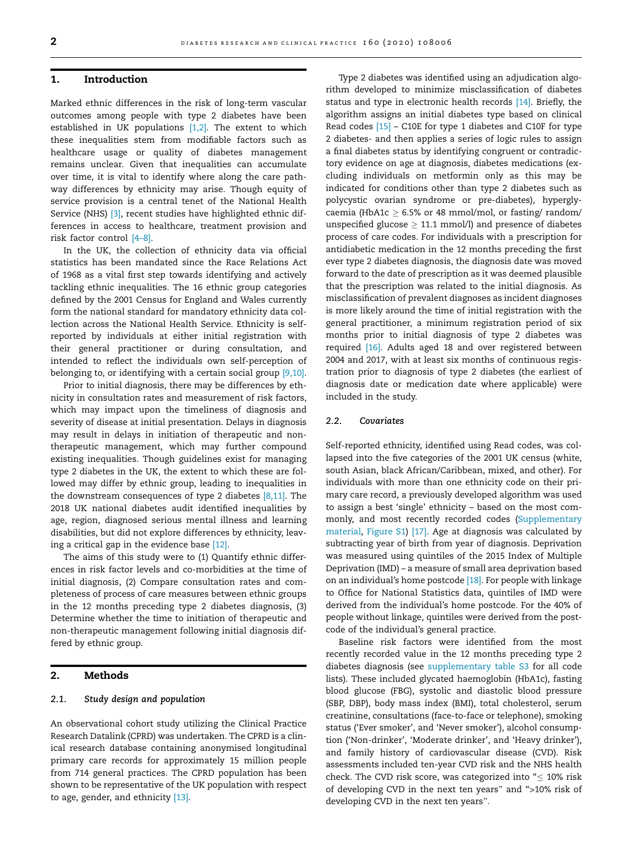# 1. Introduction

Marked ethnic differences in the risk of long-term vascular outcomes among people with type 2 diabetes have been established in UK populations [\[1,2\].](#page-8-0) The extent to which these inequalities stem from modifiable factors such as healthcare usage or quality of diabetes management remains unclear. Given that inequalities can accumulate over time, it is vital to identify where along the care pathway differences by ethnicity may arise. Though equity of service provision is a central tenet of the National Health Service (NHS) [\[3\],](#page-8-0) recent studies have highlighted ethnic differences in access to healthcare, treatment provision and risk factor control [\[4–8\].](#page-8-0)

In the UK, the collection of ethnicity data via official statistics has been mandated since the Race Relations Act of 1968 as a vital first step towards identifying and actively tackling ethnic inequalities. The 16 ethnic group categories defined by the 2001 Census for England and Wales currently form the national standard for mandatory ethnicity data collection across the National Health Service. Ethnicity is selfreported by individuals at either initial registration with their general practitioner or during consultation, and intended to reflect the individuals own self-perception of belonging to, or identifying with a certain social group [\[9,10\]](#page-8-0).

Prior to initial diagnosis, there may be differences by ethnicity in consultation rates and measurement of risk factors, which may impact upon the timeliness of diagnosis and severity of disease at initial presentation. Delays in diagnosis may result in delays in initiation of therapeutic and nontherapeutic management, which may further compound existing inequalities. Though guidelines exist for managing type 2 diabetes in the UK, the extent to which these are followed may differ by ethnic group, leading to inequalities in the downstream consequences of type 2 diabetes  $[8,11]$ . The 2018 UK national diabetes audit identified inequalities by age, region, diagnosed serious mental illness and learning disabilities, but did not explore differences by ethnicity, leaving a critical gap in the evidence base [\[12\]](#page-8-0).

The aims of this study were to (1) Quantify ethnic differences in risk factor levels and co-morbidities at the time of initial diagnosis, (2) Compare consultation rates and completeness of process of care measures between ethnic groups in the 12 months preceding type 2 diabetes diagnosis, (3) Determine whether the time to initiation of therapeutic and non-therapeutic management following initial diagnosis differed by ethnic group.

# 2. Methods

#### 2.1. Study design and population

An observational cohort study utilizing the Clinical Practice Research Datalink (CPRD) was undertaken. The CPRD is a clinical research database containing anonymised longitudinal primary care records for approximately 15 million people from 714 general practices. The CPRD population has been shown to be representative of the UK population with respect to age, gender, and ethnicity [\[13\].](#page-9-0)

Type 2 diabetes was identified using an adjudication algorithm developed to minimize misclassification of diabetes status and type in electronic health records [\[14\].](#page-9-0) Briefly, the algorithm assigns an initial diabetes type based on clinical Read codes [\[15\]](#page-9-0) – C10E for type 1 diabetes and C10F for type 2 diabetes- and then applies a series of logic rules to assign a final diabetes status by identifying congruent or contradictory evidence on age at diagnosis, diabetes medications (excluding individuals on metformin only as this may be indicated for conditions other than type 2 diabetes such as polycystic ovarian syndrome or pre-diabetes), hyperglycaemia (HbA1c  $> 6.5\%$  or 48 mmol/mol, or fasting/ random/ unspecified glucose  $\geq 11.1$  mmol/l) and presence of diabetes process of care codes. For individuals with a prescription for antidiabetic medication in the 12 months preceding the first ever type 2 diabetes diagnosis, the diagnosis date was moved forward to the date of prescription as it was deemed plausible that the prescription was related to the initial diagnosis. As misclassification of prevalent diagnoses as incident diagnoses is more likely around the time of initial registration with the general practitioner, a minimum registration period of six months prior to initial diagnosis of type 2 diabetes was required [\[16\]](#page-9-0). Adults aged 18 and over registered between 2004 and 2017, with at least six months of continuous registration prior to diagnosis of type 2 diabetes (the earliest of diagnosis date or medication date where applicable) were included in the study.

#### 2.2. Covariates

Self-reported ethnicity, identified using Read codes, was collapsed into the five categories of the 2001 UK census (white, south Asian, black African/Caribbean, mixed, and other). For individuals with more than one ethnicity code on their primary care record, a previously developed algorithm was used to assign a best 'single' ethnicity – based on the most commonly, and most recently recorded codes (Supplementary material, Figure S1) [\[17\]](#page-9-0). Age at diagnosis was calculated by subtracting year of birth from year of diagnosis. Deprivation was measured using quintiles of the 2015 Index of Multiple Deprivation (IMD) – a measure of small area deprivation based on an individual's home postcode [\[18\]](#page-9-0). For people with linkage to Office for National Statistics data, quintiles of IMD were derived from the individual's home postcode. For the 40% of people without linkage, quintiles were derived from the postcode of the individual's general practice.

Baseline risk factors were identified from the most recently recorded value in the 12 months preceding type 2 diabetes diagnosis (see supplementary table S3 for all code lists). These included glycated haemoglobin (HbA1c), fasting blood glucose (FBG), systolic and diastolic blood pressure (SBP, DBP), body mass index (BMI), total cholesterol, serum creatinine, consultations (face-to-face or telephone), smoking status ('Ever smoker', and 'Never smoker'), alcohol consumption ('Non-drinker', 'Moderate drinker', and 'Heavy drinker'), and family history of cardiovascular disease (CVD). Risk assessments included ten-year CVD risk and the NHS health check. The CVD risk score, was categorized into " $\leq$  10% risk of developing CVD in the next ten years" and ">10% risk of developing CVD in the next ten years".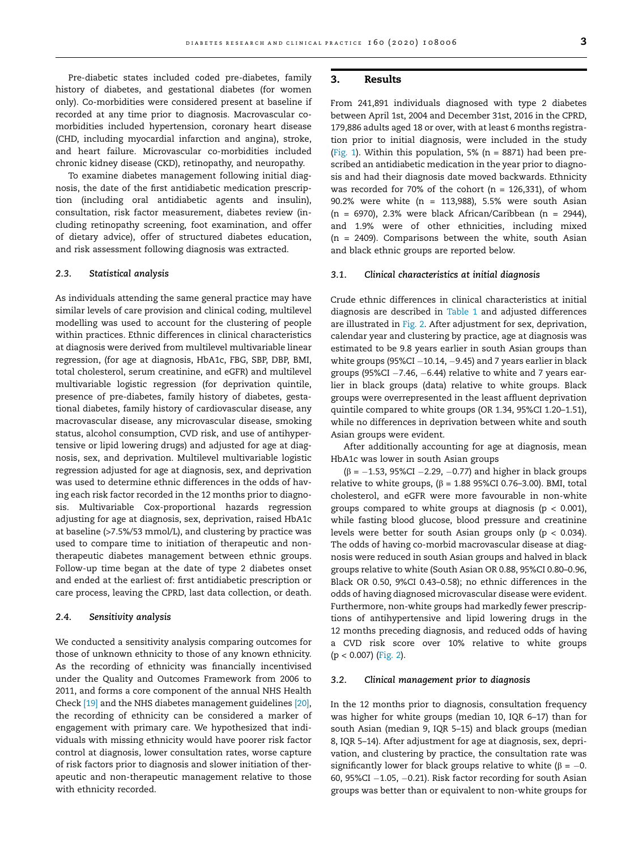Pre-diabetic states included coded pre-diabetes, family history of diabetes, and gestational diabetes (for women only). Co-morbidities were considered present at baseline if recorded at any time prior to diagnosis. Macrovascular comorbidities included hypertension, coronary heart disease (CHD, including myocardial infarction and angina), stroke, and heart failure. Microvascular co-morbidities included chronic kidney disease (CKD), retinopathy, and neuropathy.

To examine diabetes management following initial diagnosis, the date of the first antidiabetic medication prescription (including oral antidiabetic agents and insulin), consultation, risk factor measurement, diabetes review (including retinopathy screening, foot examination, and offer of dietary advice), offer of structured diabetes education, and risk assessment following diagnosis was extracted.

#### 2.3. Statistical analysis

As individuals attending the same general practice may have similar levels of care provision and clinical coding, multilevel modelling was used to account for the clustering of people within practices. Ethnic differences in clinical characteristics at diagnosis were derived from multilevel multivariable linear regression, (for age at diagnosis, HbA1c, FBG, SBP, DBP, BMI, total cholesterol, serum creatinine, and eGFR) and multilevel multivariable logistic regression (for deprivation quintile, presence of pre-diabetes, family history of diabetes, gestational diabetes, family history of cardiovascular disease, any macrovascular disease, any microvascular disease, smoking status, alcohol consumption, CVD risk, and use of antihypertensive or lipid lowering drugs) and adjusted for age at diagnosis, sex, and deprivation. Multilevel multivariable logistic regression adjusted for age at diagnosis, sex, and deprivation was used to determine ethnic differences in the odds of having each risk factor recorded in the 12 months prior to diagnosis. Multivariable Cox-proportional hazards regression adjusting for age at diagnosis, sex, deprivation, raised HbA1c at baseline (>7.5%/53 mmol/L), and clustering by practice was used to compare time to initiation of therapeutic and nontherapeutic diabetes management between ethnic groups. Follow-up time began at the date of type 2 diabetes onset and ended at the earliest of: first antidiabetic prescription or care process, leaving the CPRD, last data collection, or death.

#### 2.4. Sensitivity analysis

We conducted a sensitivity analysis comparing outcomes for those of unknown ethnicity to those of any known ethnicity. As the recording of ethnicity was financially incentivised under the Quality and Outcomes Framework from 2006 to 2011, and forms a core component of the annual NHS Health Check [\[19\]](#page-9-0) and the NHS diabetes management guidelines [\[20\],](#page-9-0) the recording of ethnicity can be considered a marker of engagement with primary care. We hypothesized that individuals with missing ethnicity would have poorer risk factor control at diagnosis, lower consultation rates, worse capture of risk factors prior to diagnosis and slower initiation of therapeutic and non-therapeutic management relative to those with ethnicity recorded.

#### 3. Results

From 241,891 individuals diagnosed with type 2 diabetes between April 1st, 2004 and December 31st, 2016 in the CPRD, 179,886 adults aged 18 or over, with at least 6 months registration prior to initial diagnosis, were included in the study [\(Fig. 1](#page-3-0)). Within this population,  $5\%$  (n = 8871) had been prescribed an antidiabetic medication in the year prior to diagnosis and had their diagnosis date moved backwards. Ethnicity was recorded for 70% of the cohort  $(n = 126,331)$ , of whom 90.2% were white (n = 113,988), 5.5% were south Asian (n = 6970), 2.3% were black African/Caribbean (n = 2944), and 1.9% were of other ethnicities, including mixed  $(n = 2409)$ . Comparisons between the white, south Asian and black ethnic groups are reported below.

#### 3.1. Clinical characteristics at initial diagnosis

Crude ethnic differences in clinical characteristics at initial diagnosis are described in [Table 1](#page-4-0) and adjusted differences are illustrated in [Fig. 2](#page-5-0). After adjustment for sex, deprivation, calendar year and clustering by practice, age at diagnosis was estimated to be 9.8 years earlier in south Asian groups than white groups (95%CI  $-10.14$ ,  $-9.45$ ) and 7 years earlier in black groups (95%CI  $-7.46$ ,  $-6.44$ ) relative to white and 7 years earlier in black groups (data) relative to white groups. Black groups were overrepresented in the least affluent deprivation quintile compared to white groups (OR 1.34, 95%CI 1.20–1.51), while no differences in deprivation between white and south Asian groups were evident.

After additionally accounting for age at diagnosis, mean HbA1c was lower in south Asian groups

 $(\beta = -1.53, 95\% CI -2.29, -0.77)$  and higher in black groups relative to white groups,  $(\beta = 1.8895\% CI 0.76-3.00)$ . BMI, total cholesterol, and eGFR were more favourable in non-white groups compared to white groups at diagnosis ( $p < 0.001$ ), while fasting blood glucose, blood pressure and creatinine levels were better for south Asian groups only ( $p < 0.034$ ). The odds of having co-morbid macrovascular disease at diagnosis were reduced in south Asian groups and halved in black groups relative to white (South Asian OR 0.88, 95%CI 0.80–0.96, Black OR 0.50, 9%CI 0.43–0.58); no ethnic differences in the odds of having diagnosed microvascular disease were evident. Furthermore, non-white groups had markedly fewer prescriptions of antihypertensive and lipid lowering drugs in the 12 months preceding diagnosis, and reduced odds of having a CVD risk score over 10% relative to white groups  $(p < 0.007)$  ([Fig. 2](#page-5-0)).

#### 3.2. Clinical management prior to diagnosis

In the 12 months prior to diagnosis, consultation frequency was higher for white groups (median 10, IQR 6–17) than for south Asian (median 9, IQR 5–15) and black groups (median 8, IQR 5–14). After adjustment for age at diagnosis, sex, deprivation, and clustering by practice, the consultation rate was significantly lower for black groups relative to white ( $\beta = -0$ . 60, 95%CI  $-1.05$ ,  $-0.21$ ). Risk factor recording for south Asian groups was better than or equivalent to non-white groups for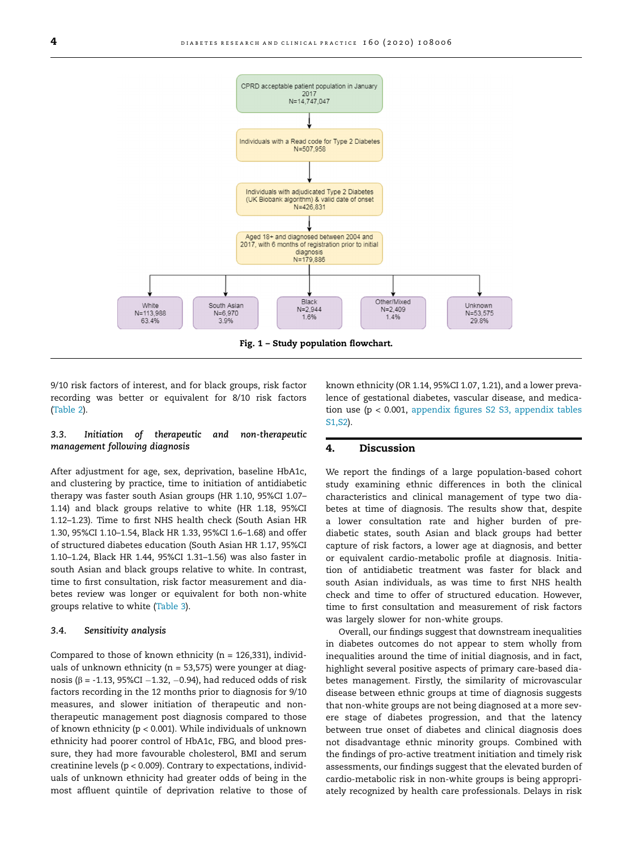<span id="page-3-0"></span>

9/10 risk factors of interest, and for black groups, risk factor recording was better or equivalent for 8/10 risk factors ([Table 2](#page-5-0)).

#### 3.3. Initiation of therapeutic and non-therapeutic management following diagnosis

After adjustment for age, sex, deprivation, baseline HbA1c, and clustering by practice, time to initiation of antidiabetic therapy was faster south Asian groups (HR 1.10, 95%CI 1.07– 1.14) and black groups relative to white (HR 1.18, 95%CI 1.12–1.23). Time to first NHS health check (South Asian HR 1.30, 95%CI 1.10–1.54, Black HR 1.33, 95%CI 1.6–1.68) and offer of structured diabetes education (South Asian HR 1.17, 95%CI 1.10–1.24, Black HR 1.44, 95%CI 1.31–1.56) was also faster in south Asian and black groups relative to white. In contrast, time to first consultation, risk factor measurement and diabetes review was longer or equivalent for both non-white groups relative to white ([Table 3](#page-6-0)).

#### 3.4. Sensitivity analysis

Compared to those of known ethnicity ( $n = 126,331$ ), individuals of unknown ethnicity ( $n = 53,575$ ) were younger at diagnosis ( $\beta$  = -1.13, 95%CI -1.32, -0.94), had reduced odds of risk factors recording in the 12 months prior to diagnosis for 9/10 measures, and slower initiation of therapeutic and nontherapeutic management post diagnosis compared to those of known ethnicity (p < 0.001). While individuals of unknown ethnicity had poorer control of HbA1c, FBG, and blood pressure, they had more favourable cholesterol, BMI and serum creatinine levels (p < 0.009). Contrary to expectations, individuals of unknown ethnicity had greater odds of being in the most affluent quintile of deprivation relative to those of known ethnicity (OR 1.14, 95%CI 1.07, 1.21), and a lower prevalence of gestational diabetes, vascular disease, and medication use (p < 0.001, appendix figures S2 S3, appendix tables S1,S2).

#### 4. Discussion

We report the findings of a large population-based cohort study examining ethnic differences in both the clinical characteristics and clinical management of type two diabetes at time of diagnosis. The results show that, despite a lower consultation rate and higher burden of prediabetic states, south Asian and black groups had better capture of risk factors, a lower age at diagnosis, and better or equivalent cardio-metabolic profile at diagnosis. Initiation of antidiabetic treatment was faster for black and south Asian individuals, as was time to first NHS health check and time to offer of structured education. However, time to first consultation and measurement of risk factors was largely slower for non-white groups.

Overall, our findings suggest that downstream inequalities in diabetes outcomes do not appear to stem wholly from inequalities around the time of initial diagnosis, and in fact, highlight several positive aspects of primary care-based diabetes management. Firstly, the similarity of microvascular disease between ethnic groups at time of diagnosis suggests that non-white groups are not being diagnosed at a more severe stage of diabetes progression, and that the latency between true onset of diabetes and clinical diagnosis does not disadvantage ethnic minority groups. Combined with the findings of pro-active treatment initiation and timely risk assessments, our findings suggest that the elevated burden of cardio-metabolic risk in non-white groups is being appropriately recognized by health care professionals. Delays in risk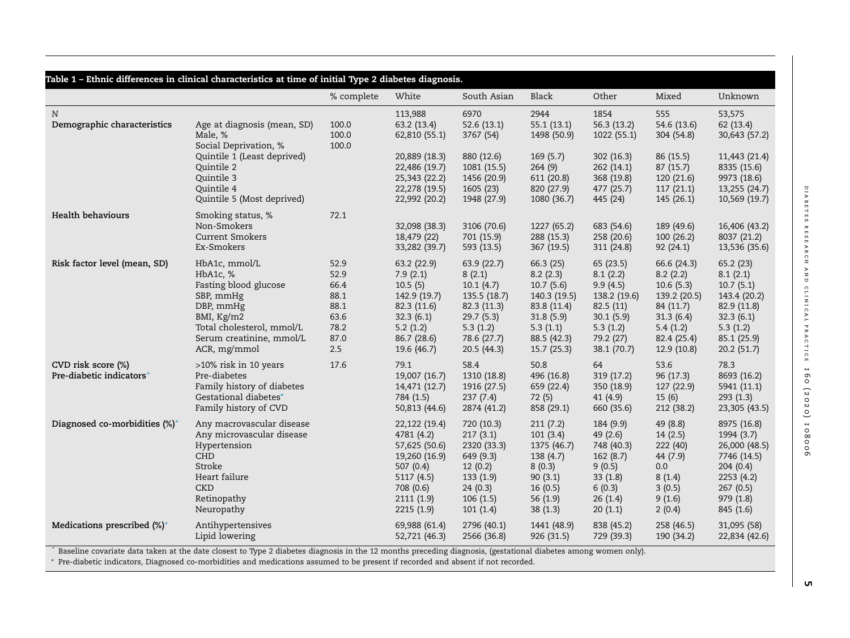<span id="page-4-0"></span>

| Table 1 - Ethnic differences in clinical characteristics at time of initial Type 2 diabetes diagnosis. |                                                                                                                                                                        |                                                                     |                                                                                                                                  |                                                                                                                       |                                                                                                                        |                                                                                                                  |                                                                                                                          |                                                                                                                         |  |  |
|--------------------------------------------------------------------------------------------------------|------------------------------------------------------------------------------------------------------------------------------------------------------------------------|---------------------------------------------------------------------|----------------------------------------------------------------------------------------------------------------------------------|-----------------------------------------------------------------------------------------------------------------------|------------------------------------------------------------------------------------------------------------------------|------------------------------------------------------------------------------------------------------------------|--------------------------------------------------------------------------------------------------------------------------|-------------------------------------------------------------------------------------------------------------------------|--|--|
|                                                                                                        |                                                                                                                                                                        | % complete                                                          | White                                                                                                                            | South Asian                                                                                                           | Black                                                                                                                  | Other                                                                                                            | Mixed                                                                                                                    | Unknown                                                                                                                 |  |  |
| N<br>Demographic characteristics                                                                       | Age at diagnosis (mean, SD)<br>Male, %<br>Social Deprivation, %<br>Quintile 1 (Least deprived)<br>Quintile 2<br>Quintile 3<br>Quintile 4<br>Quintile 5 (Most deprived) | 100.0<br>100.0<br>100.0                                             | 113,988<br>63.2 (13.4)<br>62,810 (55.1)<br>20,889 (18.3)<br>22,486 (19.7)<br>25,343 (22.2)<br>22,278 (19.5)<br>22,992 (20.2)     | 6970<br>52.6(13.1)<br>3767 (54)<br>880 (12.6)<br>1081 (15.5)<br>1456 (20.9)<br>1605 (23)<br>1948 (27.9)               | 2944<br>55.1(13.1)<br>1498 (50.9)<br>169(5.7)<br>264(9)<br>611 (20.8)<br>820 (27.9)<br>1080 (36.7)                     | 1854<br>56.3 (13.2)<br>1022 (55.1)<br>302 (16.3)<br>262 (14.1)<br>368 (19.8)<br>477 (25.7)<br>445 (24)           | 555<br>54.6 (13.6)<br>304 (54.8)<br>86 (15.5)<br>87 (15.7)<br>120 (21.6)<br>117(21.1)<br>145 (26.1)                      | 53,575<br>62 (13.4)<br>30,643 (57.2)<br>11,443 (21.4)<br>8335 (15.6)<br>9973 (18.6)<br>13,255 (24.7)<br>10,569 (19.7)   |  |  |
| <b>Health behaviours</b>                                                                               | Smoking status, %<br>Non-Smokers<br><b>Current Smokers</b><br>Ex-Smokers                                                                                               | 72.1                                                                | 32,098 (38.3)<br>18,479 (22)<br>33,282 (39.7)                                                                                    | 3106 (70.6)<br>701 (15.9)<br>593 (13.5)                                                                               | 1227 (65.2)<br>288 (15.3)<br>367(19.5)                                                                                 | 683 (54.6)<br>258 (20.6)<br>311 (24.8)                                                                           | 189 (49.6)<br>100(26.2)<br>92(24.1)                                                                                      | 16,406 (43.2)<br>8037 (21.2)<br>13,536 (35.6)                                                                           |  |  |
| Risk factor level (mean, SD)                                                                           | HbA1c, mmol/L<br>HbA1c, %<br>Fasting blood glucose<br>SBP, mmHg<br>DBP, mmHg<br>BMI, Kg/m2<br>Total cholesterol, mmol/L<br>Serum creatinine, mmol/L<br>ACR, mg/mmol    | 52.9<br>52.9<br>66.4<br>88.1<br>88.1<br>63.6<br>78.2<br>87.0<br>2.5 | 63.2(22.9)<br>7.9(2.1)<br>10.5(5)<br>142.9 (19.7)<br>82.3 (11.6)<br>32.3(6.1)<br>5.2(1.2)<br>86.7 (28.6)<br>19.6 (46.7)          | 63.9(22.7)<br>8(2.1)<br>10.1(4.7)<br>135.5 (18.7)<br>82.3(11.3)<br>29.7(5.3)<br>5.3(1.2)<br>78.6 (27.7)<br>20.5(44.3) | 66.3(25)<br>8.2(2.3)<br>10.7(5.6)<br>140.3 (19.5)<br>83.8 (11.4)<br>31.8(5.9)<br>5.3(1.1)<br>88.5 (42.3)<br>15.7(25.3) | 65(23.5)<br>8.1(2.2)<br>9.9(4.5)<br>138.2 (19.6)<br>82.5(11)<br>30.1(5.9)<br>5.3(1.2)<br>79.2 (27)<br>38.1(70.7) | 66.6 (24.3)<br>8.2(2.2)<br>10.6(5.3)<br>139.2 (20.5)<br>84 (11.7)<br>31.3(6.4)<br>5.4(1.2)<br>82.4 (25.4)<br>12.9 (10.8) | 65.2(23)<br>8.1(2.1)<br>10.7(5.1)<br>143.4 (20.2)<br>82.9 (11.8)<br>32.3(6.1)<br>5.3(1.2)<br>85.1 (25.9)<br>20.2(51.7)  |  |  |
| CVD risk score (%)<br>Pre-diabetic indicators <sup>+</sup>                                             | >10% risk in 10 years<br>Pre-diabetes<br>Family history of diabetes<br>Gestational diabetes*<br>Family history of CVD                                                  | 17.6                                                                | 79.1<br>19,007 (16.7)<br>14,471 (12.7)<br>784 (1.5)<br>50,813 (44.6)                                                             | 58.4<br>1310 (18.8)<br>1916 (27.5)<br>237(7.4)<br>2874 (41.2)                                                         | 50.8<br>496 (16.8)<br>659 (22.4)<br>72(5)<br>858 (29.1)                                                                | 64<br>319 (17.2)<br>350 (18.9)<br>41 (4.9)<br>660 (35.6)                                                         | 53.6<br>96(17.3)<br>127 (22.9)<br>15(6)<br>212 (38.2)                                                                    | 78.3<br>8693 (16.2)<br>5941 (11.1)<br>293(1.3)<br>23,305 (43.5)                                                         |  |  |
| Diagnosed co-morbidities $(\%)^+$                                                                      | Any macrovascular disease<br>Any microvascular disease<br>Hypertension<br><b>CHD</b><br>Stroke<br>Heart failure<br><b>CKD</b><br>Retinopathy<br>Neuropathy             |                                                                     | 22,122 (19.4)<br>4781 (4.2)<br>57,625 (50.6)<br>19,260 (16.9)<br>507 $(0.4)$<br>5117(4.5)<br>708 (0.6)<br>2111(1.9)<br>2215(1.9) | 720 (10.3)<br>217(3.1)<br>2320 (33.3)<br>649 (9.3)<br>12(0.2)<br>133(1.9)<br>24(0.3)<br>106(1.5)<br>101(1.4)          | 211(7.2)<br>101(3.4)<br>1375 (46.7)<br>138(4.7)<br>8(0.3)<br>90(3.1)<br>16(0.5)<br>56 (1.9)<br>38(1.3)                 | 184 (9.9)<br>49 (2.6)<br>748 (40.3)<br>162(8.7)<br>9(0.5)<br>33(1.8)<br>6(0.3)<br>26(1.4)<br>20(1.1)             | 49(8.8)<br>14(2.5)<br>222(40)<br>44 (7.9)<br>0.0<br>8(1.4)<br>3(0.5)<br>9(1.6)<br>2(0.4)                                 | 8975 (16.8)<br>1994 (3.7)<br>26,000 (48.5)<br>7746 (14.5)<br>204(0.4)<br>2253(4.2)<br>267(0.5)<br>979(1.8)<br>845 (1.6) |  |  |
| Medications prescribed (%) <sup>+</sup>                                                                | Antihypertensives<br>Lipid lowering                                                                                                                                    |                                                                     | 69,988 (61.4)<br>52,721 (46.3)                                                                                                   | 2796 (40.1)<br>2566 (36.8)                                                                                            | 1441 (48.9)<br>926 (31.5)                                                                                              | 838 (45.2)<br>729 (39.3)                                                                                         | 258 (46.5)<br>190 (34.2)                                                                                                 | 31,095 (58)<br>22,834 (42.6)                                                                                            |  |  |

\* Baseline covariate data taken at the date closest to Type <sup>2</sup> diabetes diagnosis in the <sup>12</sup> months preceding diagnosis, (gestational diabetes among women only).

+ Pre-diabetic indicators, Diagnosed co-morbidities and medications assumed to be presen<sup>t</sup> if recorded and absent if not recorded.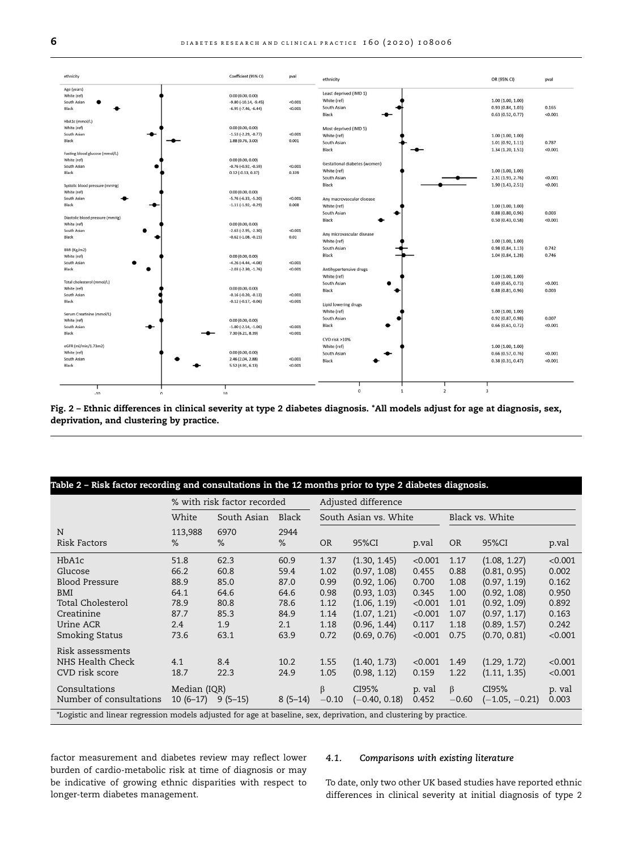<span id="page-5-0"></span>

Fig. 2 – Ethnic differences in clinical severity at type 2 diabetes diagnosis. \*All models adjust for age at diagnosis, sex, deprivation, and clustering by practice.

|                                                                                                                    | % with risk factor recorded   |           |           | Adjusted difference   |                 |         |                 |                  |         |  |  |
|--------------------------------------------------------------------------------------------------------------------|-------------------------------|-----------|-----------|-----------------------|-----------------|---------|-----------------|------------------|---------|--|--|
|                                                                                                                    | White<br>South Asian<br>Black |           |           | South Asian vs. White |                 |         | Black vs. White |                  |         |  |  |
| N                                                                                                                  | 113,988                       | 6970      | 2944      |                       |                 |         |                 |                  |         |  |  |
| Risk Factors                                                                                                       | $\%$                          | $\%$      | $\%$      | <b>OR</b>             | 95%CI           | p.val   | OR.             | 95%CI            | p.val   |  |  |
| HbA1c                                                                                                              | 51.8                          | 62.3      | 60.9      | 1.37                  | (1.30, 1.45)    | < 0.001 | 1.17            | (1.08, 1.27)     | < 0.001 |  |  |
| Glucose                                                                                                            | 66.2                          | 60.8      | 59.4      | 1.02                  | (0.97, 1.08)    | 0.455   | 0.88            | (0.81, 0.95)     | 0.002   |  |  |
| <b>Blood Pressure</b>                                                                                              | 88.9                          | 85.0      | 87.0      | 0.99                  | (0.92, 1.06)    | 0.700   | 1.08            | (0.97, 1.19)     | 0.162   |  |  |
| BMI                                                                                                                | 64.1                          | 64.6      | 64.6      | 0.98                  | (0.93, 1.03)    | 0.345   | 1.00            | (0.92, 1.08)     | 0.950   |  |  |
| <b>Total Cholesterol</b>                                                                                           | 78.9                          | 80.8      | 78.6      | 1.12                  | (1.06, 1.19)    | < 0.001 | 1.01            | (0.92, 1.09)     | 0.892   |  |  |
| Creatinine                                                                                                         | 87.7                          | 85.3      | 84.9      | 1.14                  | (1.07, 1.21)    | < 0.001 | 1.07            | (0.97, 1.17)     | 0.163   |  |  |
| Urine ACR                                                                                                          | 2.4                           | 1.9       | 2.1       | 1.18                  | (0.96, 1.44)    | 0.117   | 1.18            | (0.89, 1.57)     | 0.242   |  |  |
| <b>Smoking Status</b>                                                                                              | 73.6                          | 63.1      | 63.9      | 0.72                  | (0.69, 0.76)    | < 0.001 | 0.75            | (0.70, 0.81)     | < 0.001 |  |  |
| Risk assessments                                                                                                   |                               |           |           |                       |                 |         |                 |                  |         |  |  |
| NHS Health Check                                                                                                   | 4.1                           | 8.4       | 10.2      | 1.55                  | (1.40, 1.73)    | < 0.001 | 1.49            | (1.29, 1.72)     | < 0.001 |  |  |
| CVD risk score                                                                                                     | 18.7                          | 22.3      | 24.9      | 1.05                  | (0.98, 1.12)    | 0.159   | 1.22            | (1.11, 1.35)     | < 0.001 |  |  |
| Consultations                                                                                                      | Median (IQR)                  |           |           | β                     | CI95%           | p. val  | $\beta$         | CI95%            | p. val  |  |  |
| Number of consultations                                                                                            | $10(6-17)$                    | $9(5-15)$ | $8(5-14)$ | $-0.10$               | $(-0.40, 0.18)$ | 0.452   | $-0.60$         | $(-1.05, -0.21)$ | 0.003   |  |  |
| *Logistic and linear regression models adjusted for age at baseline, sex, deprivation, and clustering by practice. |                               |           |           |                       |                 |         |                 |                  |         |  |  |

factor measurement and diabetes review may reflect lower burden of cardio-metabolic risk at time of diagnosis or may be indicative of growing ethnic disparities with respect to longer-term diabetes management.

## 4.1. Comparisons with existing literature

To date, only two other UK based studies have reported ethnic differences in clinical severity at initial diagnosis of type 2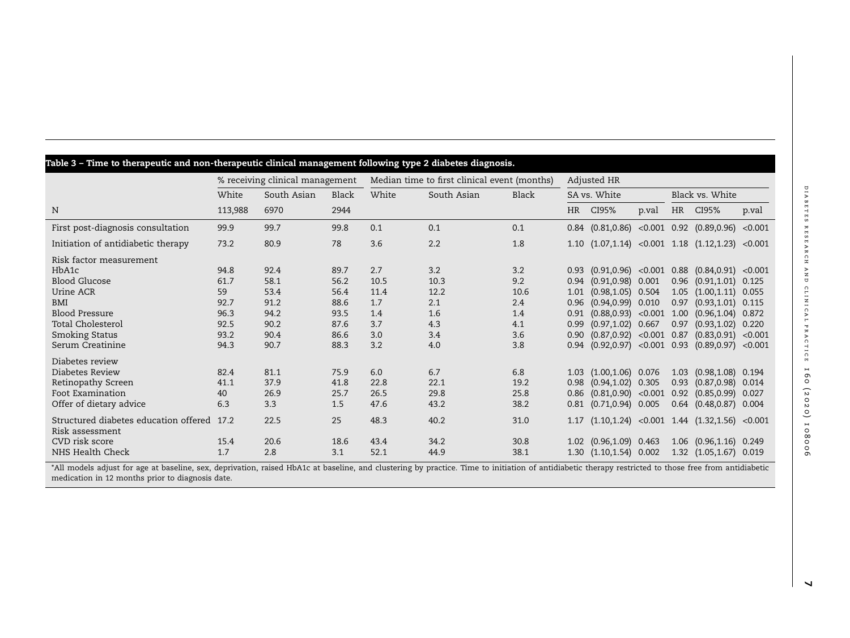<span id="page-6-0"></span>

|                                                               | % receiving clinical management |             |       | Median time to first clinical event (months) |             |       | Adjusted HR  |                                                             |                 |      |                                         |         |
|---------------------------------------------------------------|---------------------------------|-------------|-------|----------------------------------------------|-------------|-------|--------------|-------------------------------------------------------------|-----------------|------|-----------------------------------------|---------|
|                                                               | White                           | South Asian | Black | White                                        | South Asian | Black | SA vs. White |                                                             | Black vs. White |      |                                         |         |
| N                                                             | 113,988                         | 6970        | 2944  |                                              |             |       | HR           | CI95%                                                       | p.val           | HR   | CI95%                                   | p.val   |
| First post-diagnosis consultation                             | 99.9                            | 99.7        | 99.8  | 0.1                                          | 0.1         | 0.1   |              | $0.84$ (0.81,0.86) < 0.001 0.92 (0.89,0.96)                 |                 |      |                                         | < 0.001 |
| Initiation of antidiabetic therapy                            | 73.2                            | 80.9        | 78    | 3.6                                          | 2.2         | 1.8   |              | 1.10 $(1.07, 1.14)$ <0.001 1.18 $(1.12, 1.23)$ <0.001       |                 |      |                                         |         |
| Risk factor measurement                                       |                                 |             |       |                                              |             |       |              |                                                             |                 |      |                                         |         |
| HbA1c                                                         | 94.8                            | 92.4        | 89.7  | 2.7                                          | 3.2         | 3.2   |              | $0.93$ $(0.91, 0.96)$                                       |                 |      | $< 0.001$ 0.88 $(0.84, 0.91)$ $< 0.001$ |         |
| <b>Blood Glucose</b>                                          | 61.7                            | 58.1        | 56.2  | 10.5                                         | 10.3        | 9.2   |              | $0.94$ $(0.91, 0.98)$                                       | 0.001           |      | $0.96$ $(0.91, 1.01)$                   | 0.125   |
| Urine ACR                                                     | 59                              | 53.4        | 56.4  | 11.4                                         | 12.2        | 10.6  |              | 1.01 (0.98,1.05) 0.504                                      |                 |      | $1.05$ $(1.00, 1.11)$                   | 0.055   |
| <b>BMI</b>                                                    | 92.7                            | 91.2        | 88.6  | 1.7                                          | 2.1         | 2.4   |              | $0.96$ $(0.94, 0.99)$                                       | 0.010           |      | $0.97$ $(0.93, 1.01)$                   | 0.115   |
| <b>Blood Pressure</b>                                         | 96.3                            | 94.2        | 93.5  | 1.4                                          | 1.6         | 1.4   |              | $0.91$ $(0.88, 0.93)$ <0.001                                |                 | 1.00 | (0.96, 1.04)                            | 0.872   |
| Total Cholesterol                                             | 92.5                            | 90.2        | 87.6  | 3.7                                          | 4.3         | 4.1   | 0.99         | (0.97, 1.02)                                                | 0.667           | 0.97 | (0.93, 1.02)                            | 0.220   |
| <b>Smoking Status</b>                                         | 93.2                            | 90.4        | 86.6  | 3.0                                          | 3.4         | 3.6   | 0.90         | (0.87, 0.92)                                                | $< 0.001$ 0.87  |      | (0.83, 0.91)                            | < 0.001 |
| Serum Creatinine                                              | 94.3                            | 90.7        | 88.3  | 3.2                                          | 4.0         | 3.8   |              | $0.94$ $(0.92, 0.97)$ < $0.001$ 0.93 $(0.89, 0.97)$ < 0.001 |                 |      |                                         |         |
| Diabetes review                                               |                                 |             |       |                                              |             |       |              |                                                             |                 |      |                                         |         |
| Diabetes Review                                               | 82.4                            | 81.1        | 75.9  | 6.0                                          | 6.7         | 6.8   |              | 1.03 (1.00,1.06) 0.076                                      |                 |      | 1.03 (0.98,1.08) 0.194                  |         |
| Retinopathy Screen                                            | 41.1                            | 37.9        | 41.8  | 22.8                                         | 22.1        | 19.2  |              | $0.98$ $(0.94, 1.02)$                                       | 0.305           |      | $0.93$ $(0.87, 0.98)$                   | 0.014   |
| Foot Examination                                              | 40                              | 26.9        | 25.7  | 26.5                                         | 29.8        | 25.8  |              | $0.86$ $(0.81, 0.90)$ <0.001                                |                 |      | $0.92$ $(0.85, 0.99)$                   | 0.027   |
| Offer of dietary advice                                       | 6.3                             | 3.3         | 1.5   | 47.6                                         | 43.2        | 38.2  |              | $0.81$ $(0.71, 0.94)$ 0.005                                 |                 |      | 0.64 (0.48,0.87) 0.004                  |         |
| Structured diabetes education offered 17.2<br>Risk assessment |                                 | 22.5        | 25    | 48.3                                         | 40.2        | 31.0  | 1.17         | $(1.10, 1.24)$ < 0.001 1.44 $(1.32, 1.56)$ < 0.001          |                 |      |                                         |         |
| CVD risk score                                                | 15.4                            | 20.6        | 18.6  | 43.4                                         | 34.2        | 30.8  | 1.02         | $(0.96, 1.09)$ 0.463                                        |                 |      | 1.06 (0.96,1.16) 0.249                  |         |
| NHS Health Check                                              | 1.7                             | 2.8         | 3.1   | 52.1                                         | 44.9        | 38.1  | 1.30         | $(1.10, 1.54)$ 0.002                                        |                 |      | 1.32 (1.05,1.67) 0.019                  |         |

\*All models adjust for age at baseline, sex, deprivation, raised HbA1c at baseline, and clustering by practice. Time to initiation of antidiabetic therapy restricted to those free from antidiabetic medication in <sup>12</sup> months prior to diagnosis date.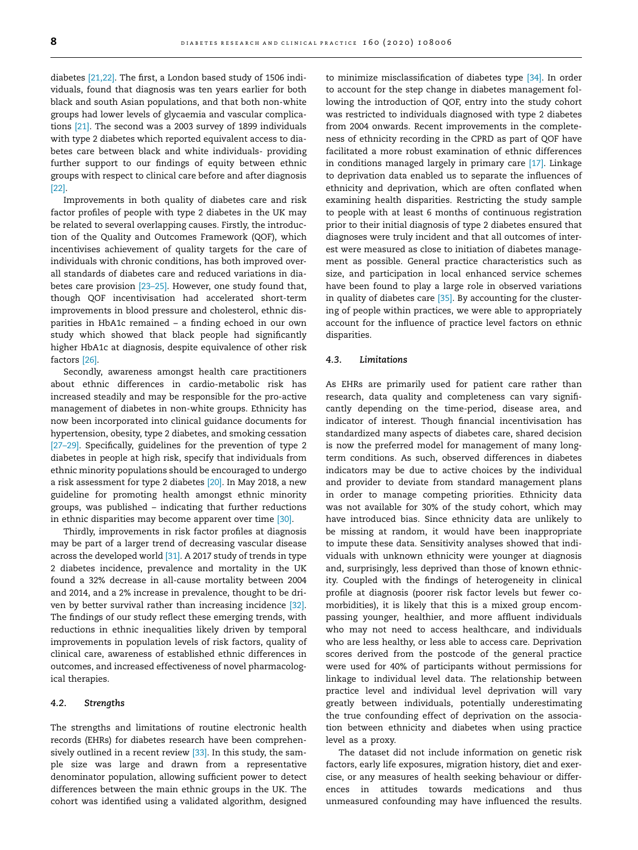diabetes [\[21,22\].](#page-9-0) The first, a London based study of 1506 individuals, found that diagnosis was ten years earlier for both black and south Asian populations, and that both non-white groups had lower levels of glycaemia and vascular complications [\[21\].](#page-9-0) The second was a 2003 survey of 1899 individuals with type 2 diabetes which reported equivalent access to diabetes care between black and white individuals- providing further support to our findings of equity between ethnic groups with respect to clinical care before and after diagnosis [\[22\]](#page-9-0).

Improvements in both quality of diabetes care and risk factor profiles of people with type 2 diabetes in the UK may be related to several overlapping causes. Firstly, the introduction of the Quality and Outcomes Framework (QOF), which incentivises achievement of quality targets for the care of individuals with chronic conditions, has both improved overall standards of diabetes care and reduced variations in diabetes care provision [\[23–25\].](#page-9-0) However, one study found that, though QOF incentivisation had accelerated short-term improvements in blood pressure and cholesterol, ethnic disparities in HbA1c remained – a finding echoed in our own study which showed that black people had significantly higher HbA1c at diagnosis, despite equivalence of other risk factors [\[26\]](#page-9-0).

Secondly, awareness amongst health care practitioners about ethnic differences in cardio-metabolic risk has increased steadily and may be responsible for the pro-active management of diabetes in non-white groups. Ethnicity has now been incorporated into clinical guidance documents for hypertension, obesity, type 2 diabetes, and smoking cessation [\[27–29\].](#page-9-0) Specifically, guidelines for the prevention of type 2 diabetes in people at high risk, specify that individuals from ethnic minority populations should be encouraged to undergo a risk assessment for type 2 diabetes [\[20\]](#page-9-0). In May 2018, a new guideline for promoting health amongst ethnic minority groups, was published – indicating that further reductions in ethnic disparities may become apparent over time [\[30\]](#page-9-0).

Thirdly, improvements in risk factor profiles at diagnosis may be part of a larger trend of decreasing vascular disease across the developed world [\[31\]](#page-9-0). A 2017 study of trends in type 2 diabetes incidence, prevalence and mortality in the UK found a 32% decrease in all-cause mortality between 2004 and 2014, and a 2% increase in prevalence, thought to be dri-ven by better survival rather than increasing incidence [\[32\]](#page-9-0). The findings of our study reflect these emerging trends, with reductions in ethnic inequalities likely driven by temporal improvements in population levels of risk factors, quality of clinical care, awareness of established ethnic differences in outcomes, and increased effectiveness of novel pharmacological therapies.

#### 4.2. Strengths

The strengths and limitations of routine electronic health records (EHRs) for diabetes research have been comprehensively outlined in a recent review [\[33\]](#page-9-0). In this study, the sample size was large and drawn from a representative denominator population, allowing sufficient power to detect differences between the main ethnic groups in the UK. The cohort was identified using a validated algorithm, designed

to minimize misclassification of diabetes type [\[34\].](#page-9-0) In order to account for the step change in diabetes management following the introduction of QOF, entry into the study cohort was restricted to individuals diagnosed with type 2 diabetes from 2004 onwards. Recent improvements in the completeness of ethnicity recording in the CPRD as part of QOF have facilitated a more robust examination of ethnic differences in conditions managed largely in primary care [\[17\].](#page-9-0) Linkage to deprivation data enabled us to separate the influences of ethnicity and deprivation, which are often conflated when examining health disparities. Restricting the study sample to people with at least 6 months of continuous registration prior to their initial diagnosis of type 2 diabetes ensured that diagnoses were truly incident and that all outcomes of interest were measured as close to initiation of diabetes management as possible. General practice characteristics such as size, and participation in local enhanced service schemes have been found to play a large role in observed variations in quality of diabetes care [\[35\]](#page-9-0). By accounting for the clustering of people within practices, we were able to appropriately account for the influence of practice level factors on ethnic disparities.

#### 4.3. Limitations

As EHRs are primarily used for patient care rather than research, data quality and completeness can vary significantly depending on the time-period, disease area, and indicator of interest. Though financial incentivisation has standardized many aspects of diabetes care, shared decision is now the preferred model for management of many longterm conditions. As such, observed differences in diabetes indicators may be due to active choices by the individual and provider to deviate from standard management plans in order to manage competing priorities. Ethnicity data was not available for 30% of the study cohort, which may have introduced bias. Since ethnicity data are unlikely to be missing at random, it would have been inappropriate to impute these data. Sensitivity analyses showed that individuals with unknown ethnicity were younger at diagnosis and, surprisingly, less deprived than those of known ethnicity. Coupled with the findings of heterogeneity in clinical profile at diagnosis (poorer risk factor levels but fewer comorbidities), it is likely that this is a mixed group encompassing younger, healthier, and more affluent individuals who may not need to access healthcare, and individuals who are less healthy, or less able to access care. Deprivation scores derived from the postcode of the general practice were used for 40% of participants without permissions for linkage to individual level data. The relationship between practice level and individual level deprivation will vary greatly between individuals, potentially underestimating the true confounding effect of deprivation on the association between ethnicity and diabetes when using practice level as a proxy.

The dataset did not include information on genetic risk factors, early life exposures, migration history, diet and exercise, or any measures of health seeking behaviour or differences in attitudes towards medications and thus unmeasured confounding may have influenced the results.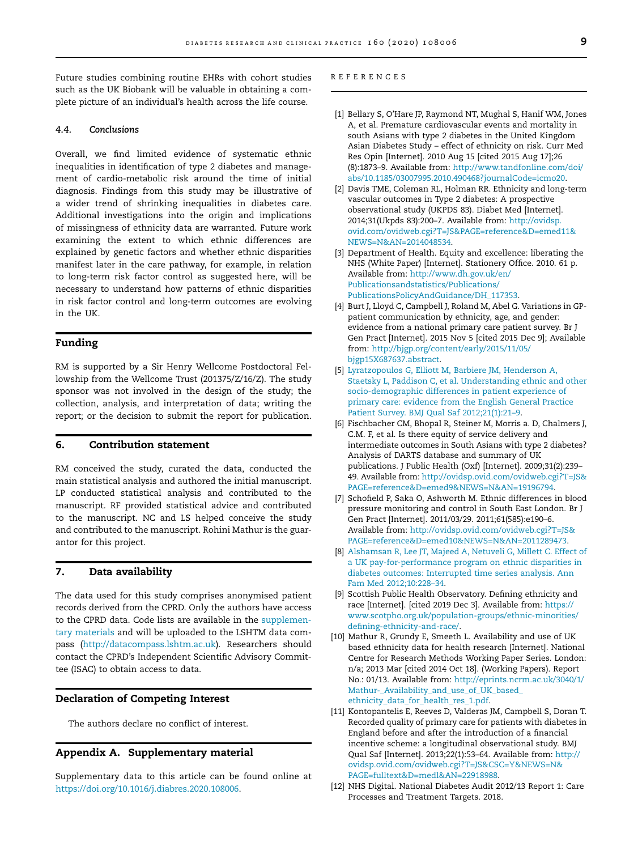<span id="page-8-0"></span>Future studies combining routine EHRs with cohort studies such as the UK Biobank will be valuable in obtaining a complete picture of an individual's health across the life course.

#### 4.4. Conclusions

Overall, we find limited evidence of systematic ethnic inequalities in identification of type 2 diabetes and management of cardio-metabolic risk around the time of initial diagnosis. Findings from this study may be illustrative of a wider trend of shrinking inequalities in diabetes care. Additional investigations into the origin and implications of missingness of ethnicity data are warranted. Future work examining the extent to which ethnic differences are explained by genetic factors and whether ethnic disparities manifest later in the care pathway, for example, in relation to long-term risk factor control as suggested here, will be necessary to understand how patterns of ethnic disparities in risk factor control and long-term outcomes are evolving in the UK.

# Funding

RM is supported by a Sir Henry Wellcome Postdoctoral Fellowship from the Wellcome Trust (201375/Z/16/Z). The study sponsor was not involved in the design of the study; the collection, analysis, and interpretation of data; writing the report; or the decision to submit the report for publication.

# 6. Contribution statement

RM conceived the study, curated the data, conducted the main statistical analysis and authored the initial manuscript. LP conducted statistical analysis and contributed to the manuscript. RF provided statistical advice and contributed to the manuscript. NC and LS helped conceive the study and contributed to the manuscript. Rohini Mathur is the guarantor for this project.

# 7. Data availability

The data used for this study comprises anonymised patient records derived from the CPRD. Only the authors have access to the CPRD data. Code lists are available in the supplementary materials and will be uploaded to the LSHTM data compass [\(http://datacompass.lshtm.ac.uk](http://datacompass.lshtm.ac.uk)). Researchers should contact the CPRD's Independent Scientific Advisory Committee (ISAC) to obtain access to data.

## Declaration of Competing Interest

The authors declare no conflict of interest.

# Appendix A. Supplementary material

Supplementary data to this article can be found online at <https://doi.org/10.1016/j.diabres.2020.108006>.

#### REFERENCES

- [1] Bellary S, O'Hare JP, Raymond NT, Mughal S, Hanif WM, Jones A, et al. Premature cardiovascular events and mortality in south Asians with type 2 diabetes in the United Kingdom Asian Diabetes Study – effect of ethnicity on risk. Curr Med Res Opin [Internet]. 2010 Aug 15 [cited 2015 Aug 17];26 (8):1873–9. Available from: [http://www.tandfonline.com/doi/](http://www.tandfonline.com/doi/abs/10.1185/03007995.2010.490468%3fjournalCode%3dicmo20) [abs/10.1185/03007995.2010.490468?journalCode=icmo20.](http://www.tandfonline.com/doi/abs/10.1185/03007995.2010.490468%3fjournalCode%3dicmo20)
- [2] Davis TME, Coleman RL, Holman RR. Ethnicity and long-term vascular outcomes in Type 2 diabetes: A prospective observational study (UKPDS 83). Diabet Med [Internet]. 2014;31(Ukpds 83):200–7. Available from: [http://ovidsp.](http://ovidsp.ovid.com/ovidweb.cgi%3fT%3dJS%26PAGE%3dreference%26D%3demed11%26NEWS%3dN%26AN%3d2014048534) [ovid.com/ovidweb.cgi?T=JS&PAGE=reference&D=emed11&](http://ovidsp.ovid.com/ovidweb.cgi%3fT%3dJS%26PAGE%3dreference%26D%3demed11%26NEWS%3dN%26AN%3d2014048534) [NEWS=N&AN=2014048534](http://ovidsp.ovid.com/ovidweb.cgi%3fT%3dJS%26PAGE%3dreference%26D%3demed11%26NEWS%3dN%26AN%3d2014048534).
- [3] Department of Health. Equity and excellence: liberating the NHS (White Paper) [Internet]. Stationery Office. 2010. 61 p. Available from: [http://www.dh.gov.uk/en/](http://www.dh.gov.uk/en/Publicationsandstatistics/Publications/PublicationsPolicyAndGuidance/DH_117353) [Publicationsandstatistics/Publications/](http://www.dh.gov.uk/en/Publicationsandstatistics/Publications/PublicationsPolicyAndGuidance/DH_117353) [PublicationsPolicyAndGuidance/DH\\_117353](http://www.dh.gov.uk/en/Publicationsandstatistics/Publications/PublicationsPolicyAndGuidance/DH_117353).
- [4] Burt J, Lloyd C, Campbell J, Roland M, Abel G. Variations in GPpatient communication by ethnicity, age, and gender: evidence from a national primary care patient survey. Br J Gen Pract [Internet]. 2015 Nov 5 [cited 2015 Dec 9]; Available from: [http://bjgp.org/content/early/2015/11/05/](http://bjgp.org/content/early/2015/11/05/bjgp15X687637.abstract) [bjgp15X687637.abstract](http://bjgp.org/content/early/2015/11/05/bjgp15X687637.abstract).
- [5] [Lyratzopoulos G, Elliott M, Barbiere JM, Henderson A,](http://refhub.elsevier.com/S0168-8227(19)31109-X/h0025) [Staetsky L, Paddison C, et al. Understanding ethnic and other](http://refhub.elsevier.com/S0168-8227(19)31109-X/h0025) [socio-demographic differences in patient experience of](http://refhub.elsevier.com/S0168-8227(19)31109-X/h0025) [primary care: evidence from the English General Practice](http://refhub.elsevier.com/S0168-8227(19)31109-X/h0025) [Patient Survey. BMJ Qual Saf 2012;21\(1\):21–9.](http://refhub.elsevier.com/S0168-8227(19)31109-X/h0025)
- [6] Fischbacher CM, Bhopal R, Steiner M, Morris a. D, Chalmers J, C.M. F, et al. Is there equity of service delivery and intermediate outcomes in South Asians with type 2 diabetes? Analysis of DARTS database and summary of UK publications. J Public Health (Oxf) [Internet]. 2009;31(2):239– 49. Available from: [http://ovidsp.ovid.com/ovidweb.cgi?T=JS&](http://ovidsp.ovid.com/ovidweb.cgi%3fT%3dJS%26PAGE%3dreference%26D%3demed9%26NEWS%3dN%26AN%3d19196794) [PAGE=reference&D=emed9&NEWS=N&AN=19196794.](http://ovidsp.ovid.com/ovidweb.cgi%3fT%3dJS%26PAGE%3dreference%26D%3demed9%26NEWS%3dN%26AN%3d19196794)
- [7] Schofield P, Saka O, Ashworth M. Ethnic differences in blood pressure monitoring and control in South East London. Br J Gen Pract [Internet]. 2011/03/29. 2011;61(585):e190–6. Available from: [http://ovidsp.ovid.com/ovidweb.cgi?T=JS&](http://ovidsp.ovid.com/ovidweb.cgi%3fT%3dJS%26PAGE%3dreference%26D%3demed10%26NEWS%3dN%26AN%3d2011289473) [PAGE=reference&D=emed10&NEWS=N&AN=2011289473](http://ovidsp.ovid.com/ovidweb.cgi%3fT%3dJS%26PAGE%3dreference%26D%3demed10%26NEWS%3dN%26AN%3d2011289473).
- [8] [Alshamsan R, Lee JT, Majeed A, Netuveli G, Millett C. Effect of](http://refhub.elsevier.com/S0168-8227(19)31109-X/h0040) [a UK pay-for-performance program on ethnic disparities in](http://refhub.elsevier.com/S0168-8227(19)31109-X/h0040) [diabetes outcomes: Interrupted time series analysis. Ann](http://refhub.elsevier.com/S0168-8227(19)31109-X/h0040) [Fam Med 2012;10:228–34.](http://refhub.elsevier.com/S0168-8227(19)31109-X/h0040)
- [9] Scottish Public Health Observatory. Defining ethnicity and race [Internet]. [cited 2019 Dec 3]. Available from: [https://](https://www.scotpho.org.uk/population-groups/ethnic-minorities/defining-ethnicity-and-race/) [www.scotpho.org.uk/population-groups/ethnic-minorities/](https://www.scotpho.org.uk/population-groups/ethnic-minorities/defining-ethnicity-and-race/) [defining-ethnicity-and-race/.](https://www.scotpho.org.uk/population-groups/ethnic-minorities/defining-ethnicity-and-race/)
- [10] Mathur R, Grundy E, Smeeth L. Availability and use of UK based ethnicity data for health research [Internet]. National Centre for Research Methods Working Paper Series. London: n/a; 2013 Mar [cited 2014 Oct 18]. (Working Papers). Report No.: 01/13. Available from: [http://eprints.ncrm.ac.uk/3040/1/](http://eprints.ncrm.ac.uk/3040/1/Mathur-_Availability_and_use_of_UK_based_ethnicity_data_for_health_res_1.pdf) [Mathur-\\_Availability\\_and\\_use\\_of\\_UK\\_based\\_](http://eprints.ncrm.ac.uk/3040/1/Mathur-_Availability_and_use_of_UK_based_ethnicity_data_for_health_res_1.pdf) [ethnicity\\_data\\_for\\_health\\_res\\_1.pdf](http://eprints.ncrm.ac.uk/3040/1/Mathur-_Availability_and_use_of_UK_based_ethnicity_data_for_health_res_1.pdf).
- [11] Kontopantelis E, Reeves D, Valderas JM, Campbell S, Doran T. Recorded quality of primary care for patients with diabetes in England before and after the introduction of a financial incentive scheme: a longitudinal observational study. BMJ Qual Saf [Internet]. 2013;22(1):53–64. Available from: [http://](http://ovidsp.ovid.com/ovidweb.cgi%3fT%3dJS%26CSC%3dY%26NEWS%3dN%26PAGE%3dfulltext%26D%3dmedl%26AN%3d22918988) [ovidsp.ovid.com/ovidweb.cgi?T=JS&CSC=Y&NEWS=N&](http://ovidsp.ovid.com/ovidweb.cgi%3fT%3dJS%26CSC%3dY%26NEWS%3dN%26PAGE%3dfulltext%26D%3dmedl%26AN%3d22918988) [PAGE=fulltext&D=medl&AN=22918988.](http://ovidsp.ovid.com/ovidweb.cgi%3fT%3dJS%26CSC%3dY%26NEWS%3dN%26PAGE%3dfulltext%26D%3dmedl%26AN%3d22918988)
- [12] NHS Digital. National Diabetes Audit 2012/13 Report 1: Care Processes and Treatment Targets. 2018.